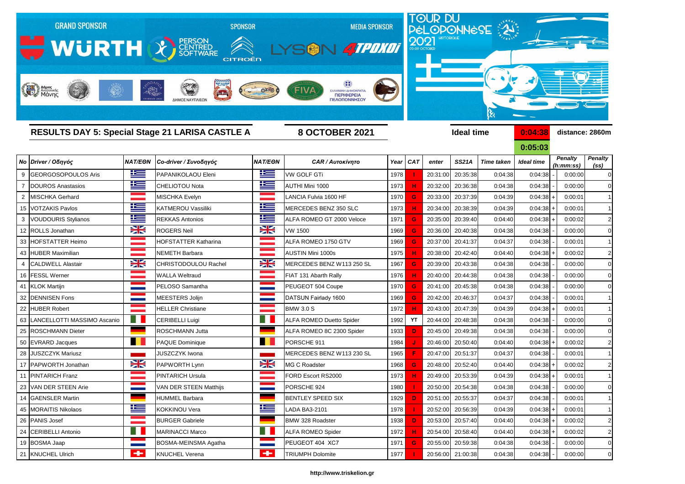

## *Νο Driver / Οδηγός NAT/EΘΝ Co-driver / Συνοδηγός NAT/EΘΝ CAR / Αυτοκίνητο Year CAT enter SS21A Time taken Ideal time* 9 GEORGOSOPOULOS Aris PAPANIKOLAOU Eleni VW GOLF GTi 1978  **I**  20:31:00 20:35:38 0:04:38 0:04:38 - 0:00:00 0 7 DOUROS Anastasios CHELIOTOU Nota AUTHI Mini 1000 1973 **H** 20:32:00 20:36:38 0:04:38 0:04:38 - 0:00:00 0 2 |MISCHKA Gerhard |MISCHKA Evelyn LANCIA Fulvia 1600 HF | 1970 <mark>\_G </mark> 20:33:00| 20:37:39| 0:04:39| 0:04:38|+| 0:00:01| 1 15 VOTZAKIS Pavlos KATMEROU Vassiliki MERCEDES BENZ 350 SLC 1973 **H** 20:34:00 20:38:39 0:04:39 0:04:38 + 0:00:01 1 3 VOUDOURIS Stylianos **REKKAS Antonios REKKAS Antonios Reference 1971 <b>G** 20:35:00 20:39:40 0:04:40 12 ROLLS Jonathan ROGERS Neil VW 1500 1969 **G** 20:36:00 20:40:38 0:04:38 0:04:38 - 0:00:00 0 33 HOFSTATTER Heimo HOFSTATTER Katharina ALFA ROMEO 1750 GTV 1969 **G** 20:37:00 20:41:37 0:04:37 0:04:38 - 0:00:01 1 43 HUBER Maximilian NEMETH Barbara AUSTIN Mini 1000s 1975 **H** 20:38:00 20:42:40 0:04:40 0:04:38 + 0:00:02 2 4 CALDWELL Alastair CHRISTODOULOU Rachel MERCEDES BENZ W113 250 SL 1967 **G** 20:39:00 20:43:38 0:04:38 16 FESSL Werner WALLA Weltraud FIAT 131 Abarth Rally 1976 **H** 20:40:00 20:44:38 0:04:38 0:04:38 - 0:00:00 0 41 KLOK Martijn PELOSO Samantha PEUGEOT 504 Coupe 1970 <mark> G </mark> 20:41:00| 20:45:38 0:04:38 0:04:38 0:04:38 0:00:00 0 32 **DENNISEN Fons MEESTERS Jolijn DATSUN Fairlady 1600 1 1969 20:42:00 20:46:37 0:04:37 0:04:38 0:00:01 1** 22 HUBER Robert HELLER Christiane BMW 3.0 S 1972 <mark> H </mark> 20:43:00 20:47:39 0:04:39 0:04:38 + 0:00:01 1 63 LANCELLOTTI MASSIMO Ascanio **CERIBELLI Luigi** CERIBELLI Luigi **ALFA ROMEO Duetto Spider** 1992 **YT** 20:44:00 20:48:38 0:04:38 25 ROSCHMANN Dieter **ROSCHMANN Jutta ALFA ROMEO 8C 2300 Spider** 1933 **D** 20:45:00 20:49:38 0:04:38 50 EVRARD Jacques PAQUE Dominique PORSCHE 911 1984  **J**  20:46:00 20:50:40 0:04:40 0:04:38 + 0:00:02 2 28 JUSZCZYK Mariusz JUSZCZYK Iwona MERCEDES BENZ W113 230 SL 1965 **F 2**0:47:00 20:51:37 0:04:37 17 PAPWORTH Jonathan **PAPWORTH Lynn BAPWORTH Lynn** MG C Roadster 1968 **G** 20:48:00 20:52:40 0:04:40 0:04:38 + 0:00:02 2 11 PINTARICH Franz PINTARICH Ursula FORD Escort RS2000 1973 **H** 20:49:00 20:53:39 0:04:39 0:04:38 + 0:00:01 1 23 VAN DER STEEN Arie VAN DER STEEN Matthijs PORSCHE 924 1980 <mark> </mark>20:50:00 20:54:38 0:04:38 0:04:38 0:04:38 0 14 GAENSLER Martin HUMMEL Barbara BENTLEY SPEED SIX 1929 <mark> D </mark> 20:51:00 20:55:37 0:04:37 0:04:38 - | 0:00:01 1 45 MORAITIS Nikolaos KOKKINOU Vera LADA BA3-2101 1978  **I**  20:52:00 20:56:39 0:04:39 0:04:38 + 0:00:01 1 26 PANIS Josef BURGER Gabriele BMW 328 Roadster 1938  **D**  20:53:00 20:57:40 0:04:40 0:04:38 + 0:00:02 2 24 CERIBELLI Antonio MARINACCI Marco ALFA ROMEO Spider 1972 **H** 20:54:00 20:58:40 0:04:40 0:04:38 + 0:00:02 2 19 BOSMA Jaap **BOSMA-MEINSMA Agatha | PEUGEOT 404 XC7** 1971 **G** 20:55:00 20:59:38 0:04:38 21 KNUCHEL Ulrich KNUCHEL Verena TRIUMPH Dolomite 1977  **I**  20:56:00 21:00:38 0:04:38 0:04:38 - 0:00:00 0

| 0:04:38           | distance: 2860m              |                             |                               |  |  |  |  |  |  |  |
|-------------------|------------------------------|-----------------------------|-------------------------------|--|--|--|--|--|--|--|
| 0:05:03           |                              |                             |                               |  |  |  |  |  |  |  |
| <b>Ideal time</b> |                              | <b>Penalty</b><br>(h:mm:ss) | <b>Penalty</b><br><u>(ss)</u> |  |  |  |  |  |  |  |
| 0:04:38           |                              | 0:00:00                     | (                             |  |  |  |  |  |  |  |
| 0:04:38           | $\overline{a}$               | 0:00:00                     | (                             |  |  |  |  |  |  |  |
| 0:04:38           | $\ddot{}$                    | 0:00:01                     | í                             |  |  |  |  |  |  |  |
| 0:04:38           | $\ddot{}$                    | 0:00:01                     | í                             |  |  |  |  |  |  |  |
| 0:04:38           | $\ddot{}$                    | 0:00:02                     | $\overline{\phantom{a}}$      |  |  |  |  |  |  |  |
| 0:04:38           | $\overline{a}$               | 0:00:00                     | $\overline{\mathcal{L}}$      |  |  |  |  |  |  |  |
| 0:04:38           | $\overline{a}$               | 0:00:01                     | í                             |  |  |  |  |  |  |  |
| 0:04:38           | $\ddot{}$                    | 0:00:02                     | ź                             |  |  |  |  |  |  |  |
| 0:04:38           | $\overline{a}$               | 0:00:00                     | $\overline{\mathcal{L}}$      |  |  |  |  |  |  |  |
| 0:04:38           | $\overline{a}$               | 0:00:00                     | $\overline{\mathcal{L}}$      |  |  |  |  |  |  |  |
| 0:04:38           | $\overline{a}$               | 0:00:00                     | $\overline{a}$                |  |  |  |  |  |  |  |
| 0:04:38           | $\overline{a}$               | 0:00:01                     | í                             |  |  |  |  |  |  |  |
| 0:04:38           | $\ddot{}$                    | 0:00:01                     | í                             |  |  |  |  |  |  |  |
| 0:04:38           | -                            | 0:00:00                     | $\overline{\mathbf{C}}$       |  |  |  |  |  |  |  |
| 0:04:38           | -                            | 0:00:00                     | $\overline{\mathcal{L}}$      |  |  |  |  |  |  |  |
| 0:04:38           | $\ddot{}$                    | 0:00:02                     | $\overline{\phantom{a}}$      |  |  |  |  |  |  |  |
| 0:04:38           | $\qquad \qquad -$            | 0:00:01                     | í                             |  |  |  |  |  |  |  |
| 0:04:38           | $\ddot{}$                    | 0:00:02                     | $\overline{\phantom{a}}$      |  |  |  |  |  |  |  |
| 0:04:38           | $\ddot{}$                    | 0:00:01                     | í                             |  |  |  |  |  |  |  |
| 0:04:38           | -                            | 0:00:00                     | $\overline{\mathbf{C}}$       |  |  |  |  |  |  |  |
| 0:04:38           | -                            | 0:00:01                     | í                             |  |  |  |  |  |  |  |
| 0:04:38           | $\ddag$                      | 0:00:01                     | í                             |  |  |  |  |  |  |  |
| 0:04:38           | $\ddag$                      | 0:00:02                     | ٛ                             |  |  |  |  |  |  |  |
| 0:04:38           | $\ddot{}$                    | 0:00:02                     | $\overline{\phantom{a}}$      |  |  |  |  |  |  |  |
| 0:04:38           | $\qquad \qquad \blacksquare$ | 0:00:00                     | (                             |  |  |  |  |  |  |  |
| 0:04:38           |                              | 0:00:00                     | $\overline{\mathcal{L}}$      |  |  |  |  |  |  |  |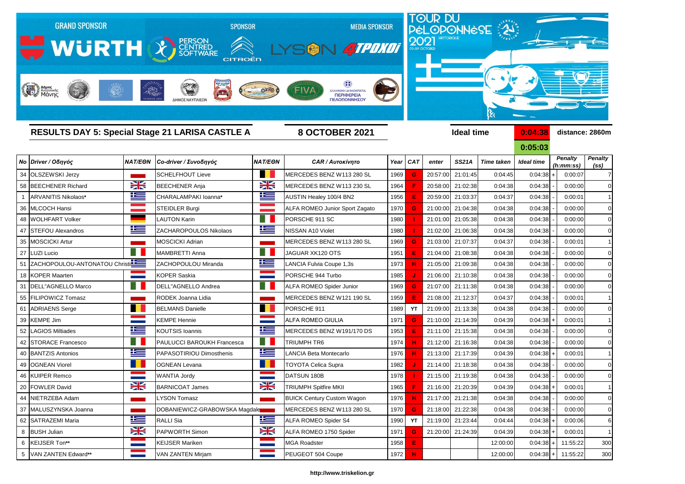

| <b>RESULTS DAY 5: Special Stage 21 LARISA CASTLE A</b> |                |                               |                      | <b>8 OCTOBER 2021</b>             |      |          |          | <b>Ideal time</b> |                   | 0:04:38           | distance: 2860m             |                                     |  |
|--------------------------------------------------------|----------------|-------------------------------|----------------------|-----------------------------------|------|----------|----------|-------------------|-------------------|-------------------|-----------------------------|-------------------------------------|--|
|                                                        |                |                               |                      |                                   |      |          |          |                   |                   | 0:05:03           |                             |                                     |  |
| Νο Driver / Οδηγός                                     | <b>NAT/EON</b> | Co-driver / Συνοδηγός         | <b>NAT/EON</b>       | <b>CAR / Αυτοκίνητο</b>           |      | Year CAT | enter    | <b>SS21A</b>      | <b>Time taken</b> | <b>Ideal time</b> | <b>Penalty</b><br>(h:mm:ss) | <b>Penalty</b><br>(s <sub>s</sub> ) |  |
| 34 OLSZEWSKI Jerzy                                     |                | <b>SCHELFHOUT Lieve</b>       | a sa                 | MERCEDES BENZ W113 280 SL         | 1969 | G        | 20:57:00 | 21:01:45          | 0:04:45           | $0:04:38$ +       | 0:00:07                     | 7                                   |  |
| 58 BEECHENER Richard                                   | X              | <b>BEECHENER Anja</b>         | XK                   | MERCEDES BENZ W113 230 SL         | 1964 |          | 20:58:00 | 21:02:38          | 0:04:38           | 0:04:38           | 0:00:00                     | C                                   |  |
| ARVANITIS Nikolaos*                                    | <u>ik a</u>    | CHARALAMPAKI Ioanna*          | <u>iks </u>          | AUSTIN Healey 100/4 BN2           | 1956 |          | 20:59:00 | 21:03:37          | 0:04:37           | 0:04:38           | 0:00:01                     |                                     |  |
| 36 MLCOCH Hansi                                        |                | <b>STEIDLER Burgi</b>         |                      | ALFA ROMEO Junior Sport Zagato    | 1970 | G        | 21:00:00 | 21:04:38          | 0:04:38           | 0:04:38           | 0:00:00                     |                                     |  |
| 48 WOLHFART Volker                                     |                | LAUTON Karin                  | Ħ                    | PORSCHE 911 SC                    | 1980 |          | 21:01:00 | 21:05:38          | 0:04:38           | 0:04:38           | 0:00:00                     |                                     |  |
| 47 STEFOU Alexandros                                   | <u>ik s</u>    | ZACHAROPOULOS Nikolaos        | <u>iks </u>          | NISSAN A10 Violet                 | 1980 |          | 21:02:00 | 21:06:38          | 0:04:38           | 0:04:38           | 0:00:00                     |                                     |  |
| 35 MOSCICKI Artur                                      |                | <b>MOSCICKI Adrian</b>        |                      | MERCEDES BENZ W113 280 SL         | 1969 |          | 21:03:00 | 21:07:37          | 0:04:37           | 0:04:38           | 0:00:01                     |                                     |  |
| 27   LUZI Lucio                                        | - 11           | <b>MAMBRETTI Anna</b>         | a ka                 | JAGUAR XK120 OTS                  | 1951 |          | 21:04:00 | 21:08:38          | 0:04:38           | 0:04:38           | 0:00:00                     |                                     |  |
| 51 ZACHOPOULOU-ANTONATOU Christi                       |                | ZACHOPOULOU Miranda           | <u>is</u>            | LANCIA Fulvia Coupe 1,3s          | 1973 |          | 21:05:00 | 21:09:38          | 0:04:38           | 0:04:38           | 0:00:00                     |                                     |  |
| 18 KOPER Maarten                                       |                | <b>KOPER Saskia</b>           |                      | PORSCHE 944 Turbo                 | 1985 |          | 21:06:00 | 21:10:38          | 0:04:38           | 0:04:38           | 0:00:00                     |                                     |  |
| 31   DELL"AGNELLO Marco                                |                | DELL"AGNELLO Andrea           |                      | ALFA ROMEO Spider Junior          | 1969 | G        |          | 21:07:00 21:11:38 | 0:04:38           | 0:04:38           | 0:00:00                     |                                     |  |
| 55 FILIPOWICZ Tomasz                                   |                | RODEK Joanna Lidia            |                      | MERCEDES BENZ W121 190 SL         | 1959 |          |          | 21:08:00 21:12:37 | 0:04:37           | 0:04:38           | 0:00:01                     |                                     |  |
| 61 ADRIAENS Serge                                      |                | <b>BELMANS Danielle</b>       |                      | PORSCHE 911                       | 1989 | YT       | 21:09:00 | 21:13:38          | 0:04:38           | 0:04:38           | 0:00:00                     |                                     |  |
| 39 KEMPE Jim                                           |                | <b>KEMPE Hennie</b>           | --                   | <b>ALFA ROMEO GIULIA</b>          | 1971 | G        | 21:10:00 | 21:14:39          | 0:04:39           | $0:04:38$ +       | 0:00:01                     |                                     |  |
| 52 LAGIOS Miltiades                                    | 些              | <b>KOUTSIS Ioannis</b>        | 些                    | MERCEDES BENZ W191/170 DS         | 1953 |          | 21:11:00 | 21:15:38          | 0:04:38           | 0:04:38           | 0:00:00                     |                                     |  |
| 42 STORACE Francesco                                   | ш              | PAULUCCI BAROUKH Francesca    | H.                   | <b>TRIUMPH TR6</b>                | 1974 |          |          | 21:12:00 21:16:38 | 0:04:38           | 0:04:38           | 0:00:00                     |                                     |  |
| 40 BANTZIS Antonios                                    | 些              | PAPASOTIRIOU Dimosthenis      | <u>ik –</u>          | LANCIA Beta Montecarlo            | 1976 |          | 21:13:00 | 21:17:39          | 0:04:39           | $0:04:38$ +       | 0:00:01                     |                                     |  |
| 49 OGNEAN Viorel                                       |                | <b>OGNEAN Levana</b>          |                      | <b>TOYOTA Celica Supra</b>        | 1982 |          | 21:14:00 | 21:18:38          | 0:04:38           | 0:04:38           | 0:00:00                     |                                     |  |
| 46 KUIPER Remco                                        |                | <b>WANTIA Jordy</b>           |                      | DATSUN 180B                       | 1978 |          | 21:15:00 | 21:19:38          | 0:04:38           | 0:04:38           | 0:00:00                     |                                     |  |
| 20 FOWLER David                                        | VZ<br>ZN       | <b>BARNICOAT James</b>        | NZ<br>$\blacksquare$ | <b>TRIUMPH Spitfire MKII</b>      | 1965 |          |          | 21:16:00 21:20:39 | 0:04:39           | $0:04:38$ +       | 0:00:01                     |                                     |  |
| 44 NIETRZEBA Adam                                      |                | <b>LYSON Tomasz</b>           |                      | <b>BUICK Century Custom Wagon</b> | 1976 |          |          | 21:17:00 21:21:38 | 0:04:38           | 0:04:38           | 0:00:00                     | C                                   |  |
| 37 MALUSZYNSKA Joanna                                  |                | DOBANIEWICZ-GRABOWSKA Magdale |                      | MERCEDES BENZ W113 280 SL         | 1970 | G        |          | 21:18:00 21:22:38 | 0:04:38           | 0:04:38           | 0:00:00                     | $\mathsf{C}$                        |  |
| 62 SATRAZEMI Maria                                     | <u>ika </u>    | <b>RALLI Sia</b>              | 上三                   | ALFA ROMEO Spider S4              | 1990 | YT       | 21:19:00 | 21:23:44          | 0:04:44           | $0:04:38$ +       | 0:00:06                     | $\epsilon$                          |  |
| 8 BUSH Julian                                          | X              | PAPWORTH Simon                | X                    | ALFA ROMEO 1750 Spider            | 1971 | G        |          | 21:20:00 21:24:39 | 0:04:39           | $0:04:38$ +       | 0:00:01                     | -1                                  |  |
| 6 KEIJSER Ton**                                        |                | <b>KEIJSER Mariken</b>        |                      | <b>MGA Roadster</b>               | 1958 | E        |          |                   | 12:00:00          | $0:04:38$ +       | 11:55:22                    | 30 <sub>C</sub>                     |  |
| 5   VAN ZANTEN Edward**                                |                | VAN ZANTEN Mirjam             |                      | PEUGEOT 504 Coupe                 | 1972 | н        |          |                   | 12:00:00          |                   | $0:04:38$ + 11:55:22        | 300                                 |  |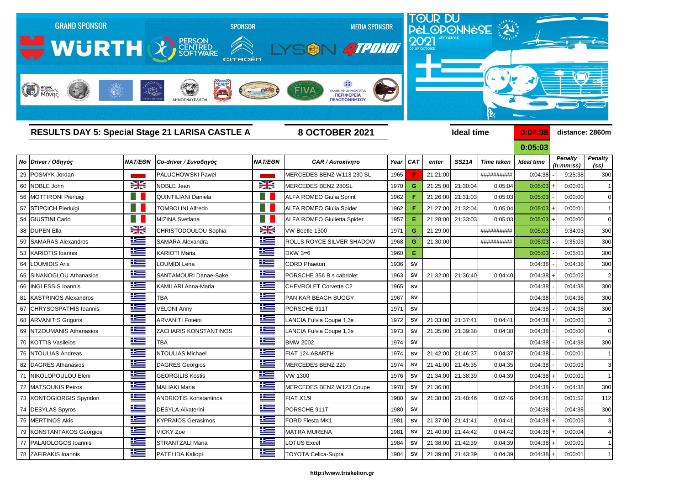

| <b>RESULTS DAY 5: Special Stage 21 LARISA CASTLE A</b> |              |                                 | <b>8 OCTOBER 2021</b> |                                    |      |           | <b>Ideal time</b> | 0:04:38           | distance: 2860m   |                   |  |                             |                                     |
|--------------------------------------------------------|--------------|---------------------------------|-----------------------|------------------------------------|------|-----------|-------------------|-------------------|-------------------|-------------------|--|-----------------------------|-------------------------------------|
|                                                        |              |                                 |                       |                                    |      |           |                   |                   |                   | 0:05:03           |  |                             |                                     |
| Νο Driver / Οδηγός                                     |              | ΝΑΤ/ΕΘΝ   Co-driver / Συνοδηγός | <b>NAT/EON</b>        | <b>CAR / Αυτοκίνητο</b>            |      | Year CAT  | enter             | <b>SS21A</b>      | <b>Time taken</b> | <b>Ideal time</b> |  | <b>Penalty</b><br>(h:mm:ss) | <b>Penalty</b><br>(s <sub>s</sub> ) |
| 29 POSMYK Jordan                                       |              | <b>PALUCHOWSKI Pawel</b>        |                       | MERCEDES BENZ W113 230 SL          | 1965 |           | 21:21:00          |                   | ##########        | 0:04:38           |  | 9:25:38                     | 300                                 |
| 60 NOBLE John                                          | XK           | <b>NOBLE Jean</b>               | XK                    | MERCEDES BENZ 280SL                | 1970 | G         | 21:25:00          | 21:30:04          | 0:05:04           | $0:05:03$ +       |  | 0:00:01                     |                                     |
| 56   MOTTIRONI Pierluigi                               |              | QUINTILIANI Daniela             | 8 H                   | <b>ALFA ROMEO Giulia Sprint</b>    | 1962 |           |                   | 21:26:00 21:31:03 | 0:05:03           | 0:05:03           |  | 0:00:00                     |                                     |
| 57 STIPCICH Pierluigi                                  |              | <b>TOMBOLINI Alfredo</b>        | H.                    | <b>ALFA ROMEO Giulia Spider</b>    | 1962 |           |                   | 21:27:00 21:32:04 | 0:05:04           | 0:05:03           |  | 0:00:01                     |                                     |
| 54 GIUSTINI Carlo                                      |              | MIZINA Svetlana                 | 8 H                   | <b>ALFA ROMEO Giulietta Spider</b> | 1957 | E.        | 21:28:00          | 21:33:03          | 0:05:03           | 0:05:03           |  | 0:00:00                     | C                                   |
| 38 DUPEN Ella                                          | X            | CHRISTODOULOU Sophia            | X                     | VW Beetle 1300                     | 1971 | G         | 21:29:00          |                   | ##########        | 0:05:03           |  | 9:34:03                     | 300                                 |
| 59 SAMARAS Alexandros                                  | <u>ik s</u>  | <b>SAMARA Alexandra</b>         | $\equiv$              | ROLLS ROYCE SILVER SHADOW          | 1968 | G         | 21:30:00          |                   | ##########        | 0:05:03           |  | 9:35:03                     | 300                                 |
| 53 KARIOTIS Ioannis                                    | ▙▆           | <b>KARIOTI Maria</b>            | 些                     | DKW 3=6                            | 1960 | Е         |                   |                   |                   | 0:05:03           |  | 0:05:03                     | 300                                 |
| 64 LOUMIDIS Aris                                       | ١œ           | <b>LOUMIDI Lena</b>             | ١æ                    | <b>CORD Phaeton</b>                | 1936 | <b>SV</b> |                   |                   |                   | 0:04:38           |  | 0:04:38                     | 30 <sub>C</sub>                     |
| 65 SINANOGLOU Athanasios                               | 些            | <b>SANTAMOURI Danae-Sake</b>    | <u>is </u>            | PORSCHE 356 B s cabriolet          | 1963 | <b>SV</b> | 21:32:00          | 21:36:40          | 0:04:40           | $0:04:38$ +       |  | 0:00:02                     | 2                                   |
| 66   INGLESSIS Ioannis                                 | <u> اکتا</u> | KAMILARI Anna-Maria             | 些                     | <b>CHEVROLET Corvette C2</b>       | 1965 | <b>SV</b> |                   |                   |                   | 0:04:38           |  | 0:04:38                     | 300                                 |
| 81 KASTRINOS Alexandros                                | <u>is </u>   | <b>TBA</b>                      | 些                     | PAN KAR BEACH BUGGY                | 1967 | <b>SV</b> |                   |                   |                   | 0:04:38           |  | 0:04:38                     | 30 <sub>C</sub>                     |
| 67 CHRYSOSPATHIS Ioannis                               | <u>is </u>   | <b>VELONI Anny</b>              | <u>iks </u>           | PORSCHE 911T                       | 1971 | <b>SV</b> |                   |                   |                   | 0:04:38           |  | 0:04:38                     | 300                                 |
| 68 ARVANITIS Grigoris                                  | <u>k </u>    | <b>ARVANITI Foteini</b>         | <u>is </u>            | LANCIA Fulvia Coupe 1,3s           | 1972 | <b>SV</b> | 21:33:00          | 21:37:41          | 0:04:41           | $0:04:38$ +       |  | 0:00:03                     |                                     |
| 69 NTZOUMANIS Athanasios                               | <u> عدا</u>  | <b>ZACHARIS KONSTANTINOS</b>    | 些                     | <b>ANCIA Fulvia Coupe 1,3s</b>     | 1973 | <b>SV</b> |                   | 21:35:00 21:39:38 | 0:04:38           | 0:04:38           |  | 0:00:00                     | C                                   |
| 70 KOTTIS Vasileios                                    | <u>is </u>   | <b>TBA</b>                      | <u>is </u>            | <b>BMW 2002</b>                    | 1974 | <b>SV</b> |                   |                   |                   | 0:04:38           |  | 0:04:38                     | <b>300</b>                          |
| 76 NTOULIAS Andreas                                    | <u> تکا</u>  | NTOULIAS Michael                | 些                     | FIAT 124 ABARTH                    | 1974 | <b>SV</b> | 21:42:00          | 21:46:37          | 0:04:37           | 0:04:38           |  | 0:00:01                     |                                     |
| 82   DAGRES Athanasios                                 | <u>is </u>   | DAGRES Georgios                 | <u>is </u>            | <b>MERCEDES BENZ 220</b>           | 1974 | SV        | 21:41:00          | 21:45:35          | 0:04:35           | 0:04:38           |  | 0:00:03                     | 3                                   |
| 71 NIKOLOPOULOU Eleni                                  | <u>is </u>   | <b>GEORGILIS Kostis</b>         | <u>ik a</u>           | <b>VW 1300</b>                     | 1976 | SV        | 21:34:00          | 21:38:39          | 0:04:39           | $0:04:38$ +       |  | 0:00:01                     |                                     |
| 72 MATSOUKIS Petros                                    | Ë            | MALIAKI Maria                   | 些                     | MERCEDES BENZ W123 Coupe           | 1978 | <b>SV</b> | 21:36:00          |                   |                   | $0:04:38$ -       |  | 0:04:38                     | 300                                 |
| 73 KONTOGIORGIS Spyridon                               | ▙▆▆          | <b>ANDRIOTIS Konstantinos</b>   | <u>is </u>            | FIAT X1/9                          | 1980 | <b>SV</b> |                   | 21:38:00 21:40:46 | 0:02:46           | 0:04:38           |  | 0:01:52                     | 112                                 |
| 74 DESYLAS Spyros                                      | <u>k </u>    | <b>DESYLA Aikaterini</b>        | <u>is </u>            | PORSCHE 911T                       | 1980 | <b>SV</b> |                   |                   |                   | 0:04:38           |  | 0:04:38                     | <b>300</b>                          |
| 75 MERTINOS Akis                                       | <u>is </u>   | <b>KYPRAIOS Gerasimos</b>       | <u>is </u>            | FORD Fiesta MK1                    | 1981 | SV        |                   | 21:37:00 21:41:41 | 0:04:41           | $0:04:38$ +       |  | 0:00:03                     | 3                                   |
| 79 KONSTANTAKOS Georgios                               | <u>is </u>   | <b>VICKY Zoe</b>                | <u>is </u>            | <b>MATRA MURENA</b>                | 1981 | SV        |                   | 21:40:00 21:44:42 | 0:04:42           | $0:04:38$ +       |  | 0:00:04                     | $\overline{\mathcal{A}}$            |
| 77   PALAIOLOGOS Ioannis                               | 些            | <b>STRANTZALI Maria</b>         | 华                     | <b>OTUS Excel</b>                  | 1984 | <b>SV</b> |                   | 21:38:00 21:42:39 | 0:04:39           | $0:04:38$ +       |  | 0:00:01                     | -1                                  |
| 78 ZAFIRAKIS Ioannis                                   | <u>ik s</u>  | PATELIDA Kaliopi                | <u>ik s</u>           | <b>TOYOTA Celica-Supra</b>         | 1984 | SV        |                   | 21:39:00 21:43:39 | 0:04:39           | $0:04:38$ +       |  | 0:00:01                     | -1                                  |